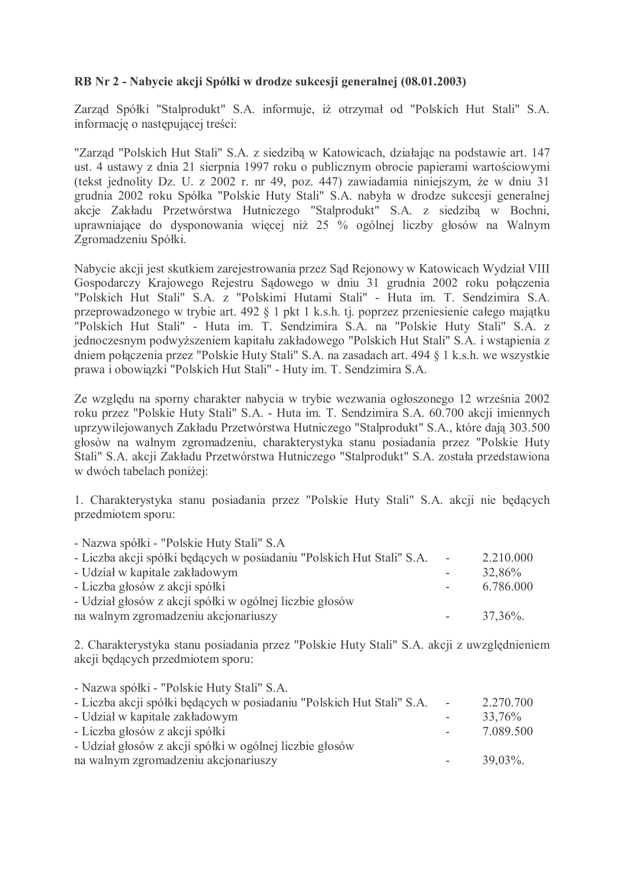## RB Nr 2 - Nabycie akcji Spółki w drodze sukcesji generalnej (08.01.2003)

Zarząd Spółki "Stalprodukt" S.A. informuje, iż otrzymał od "Polskich Hut Stali" S.A. informację o następującej treści:

"Zarząd "Polskich Hut Stali" S.A. z siedzibą w Katowicach, działając na podstawie art. 147 ust. 4 ustawy z dnia 21 sierpnia 1997 roku o publicznym obrocie papierami wartościowymi (tekst jednolity Dz. U. z 2002 r. nr 49, poz. 447) zawiadamia niniejszym, że w dniu 31 grudnia 2002 roku Spółka "Polskie Huty Stali" S.A. nabyła w drodze sukcesji generalnej akcje Zakładu Przetwórstwa Hutniczego "Stalprodukt" S.A. z siedzibą w Bochni, uprawniające do dysponowania więcej niż 25 % ogólnej liczby głosów na Walnym Zgromadzeniu Spółki.

Nabycie akcji jest skutkiem zarejestrowania przez Sąd Rejonowy w Katowicach Wydział VIII Gospodarczy Krajowego Rejestru Sądowego w dniu 31 grudnia 2002 roku połączenia "Polskich Hut Stali" S.A. z "Polskimi Hutami Stali" - Huta im. T. Sendzimira S.A. przeprowadzonego w trybie art. 492 § 1 pkt 1 k.s.h. tj. poprzez przeniesienie całego majątku "Polskich Hut Stali" - Huta im. T. Sendzimira S.A. na "Polskie Huty Stali" S.A. z jednoczesnym podwyższeniem kapitału zakładowego "Polskich Hut Stali" S.A. i wstąpienia z dniem połaczenia przez "Polskie Huty Stali" S.A. na zasadach art. 494 § 1 k.s.h. we wszystkie prawa i obowiązki "Polskich Hut Stali" - Huty im. T. Sendzimira S.A.

Ze względu na sporny charakter nabycia w trybie wezwania ogłoszonego 12 września 2002 roku przez "Polskie Huty Stali" S.A. - Huta im. T. Sendzimira S.A. 60.700 akcji imiennych uprzywilejowanych Zakładu Przetwórstwa Hutniczego "Stalprodukt" S.A., które dają 303.500 głosów na walnym zgromadzeniu, charakterystyka stanu posiadania przez "Polskie Huty Stali" S.A. akcji Zakładu Przetwórstwa Hutniczego "Stalprodukt" S.A. została przedstawiona w dwóch tabelach poniżej:

1. Charakterystyka stanu posiadania przez "Polskie Huty Stali" S.A. akcji nie bedacych przedmiotem sporu:

| - Nazwa spółki - "Polskie Huty Stali" S.A                             |            |             |
|-----------------------------------------------------------------------|------------|-------------|
| - Liczba akcji spółki będących w posiadaniu "Polskich Hut Stali" S.A. | $\sim$ $-$ | 2.210.000   |
| - Udział w kapitale zakładowym                                        |            | 32,86%      |
| - Liczba głosów z akcji spółki                                        |            | 6.786.000   |
| - Udział głosów z akcji spółki w ogólnej liczbie głosów               |            |             |
| na walnym zgromadzeniu akcjonariuszy                                  |            | $37,36\%$ . |

2. Charakterystyka stanu posiadania przez "Polskie Huty Stali" S.A. akcji z uwzględnieniem akcii bedacych przedmiotem sporu:

| - Nazwa spółki - "Polskie Huty Stali" S.A.                            |                          |             |
|-----------------------------------------------------------------------|--------------------------|-------------|
| - Liczba akcji spółki będących w posiadaniu "Polskich Hut Stali" S.A. | $\sim$ $-$               | 2.270.700   |
| - Udział w kapitale zakładowym                                        |                          | 33,76%      |
| - Liczba głosów z akcji spółki                                        |                          | 7.089.500   |
| - Udział głosów z akcji spółki w ogólnej liczbie głosów               |                          |             |
| na walnym zgromadzeniu akcjonariuszy                                  | $\overline{\phantom{a}}$ | $39,03\%$ . |